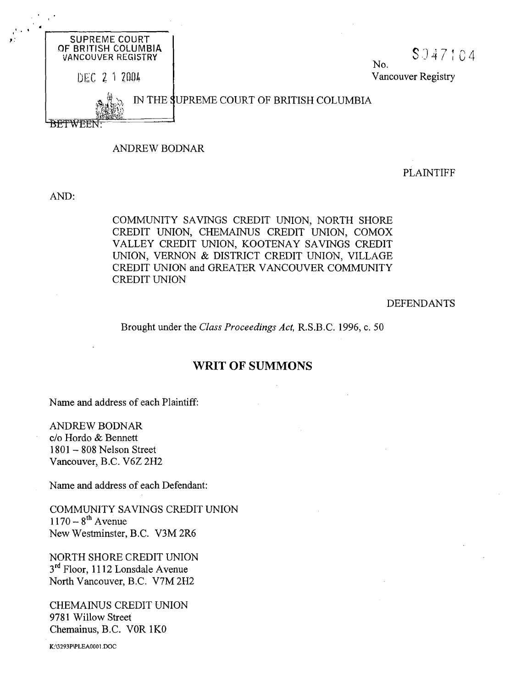

ANDREW BODNAR

PLAINTIFF

AND:

COMMUNITY SAVINGS CREDIT UNION, NORTH SHORE CREDIT UNION, CHEMAINUS CREDIT UNION, COMOX VALLEY CREDIT UNION, KOOTENAY SAVINGS CREDIT UNION, VERNON & DISTRICT CREDIT UNION, VILLAGE CREDIT UNION and GREATER VANCOUVER COMMUNITY CREDIT UNION

DEFENDANTS

Brought under the *Class Proceedings Act,* R.S.B.C. 1996, c. 50

# **WRIT OP SUMMONS**

Name and address of each Plaintiff:

ANDREW BODNAR C/O Hordo & Bennett <sup>1801</sup>- 808 Nelson Street Vancouver, B.C. V6Z 2H2

Name and address of each Defendant:

COMMUNITY SAVINGS CREDIT UNION  $1170 - 8$ <sup>th</sup> Avenue New Westminster, B.C. V3M 2R6

NORTH SHORE CREDIT UNION 3rd Floor, 1112 Lonsdale Avenue North Vancouver, B.C. V7M 2H2

CHEMAINUS CREDIT UNION 9781 Willow Street Chemainus, B.C. V0R 1K0

K:\3293P\PLEA0001.DOC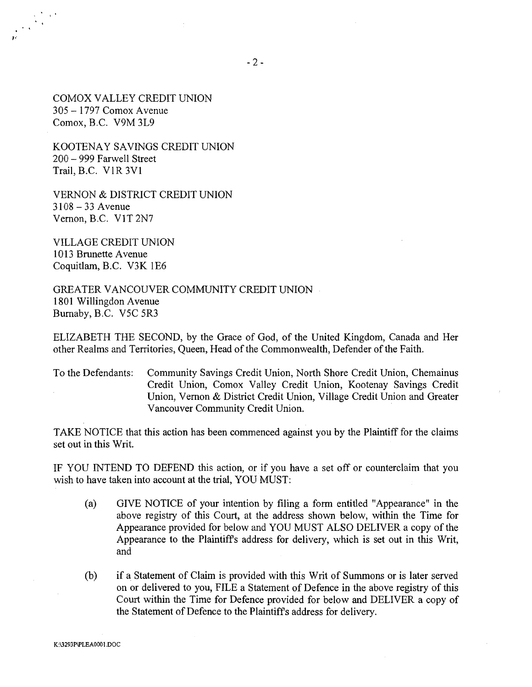COMOX VALLEY CREDIT UNION <sup>305</sup>- 1797 Comox Avenue Comox, B.C. V9M 3L9

.  $\mathcal{F}_{\text{max}}$ 

\*. *I,'* 

> KOOTENAY SAVINGS CREDIT UNION <sup>200</sup>- 999 Farwell Street Trail, B.C. V1R 3Vl

VERNON & DISTRICT CREDIT UNION  $3108 - 33$  Avenue Vernon, B.C. V1T 2N7

VILLAGE CREDIT UNION 10 13 Brunette Avenue Coquitlam, B.C. V3K 1E6

GREATER VANCOUVER COMMUNITY CREDIT UNION 1801 Willingdon Avenue Burnaby, B.C. V5C 5R3

ELIZABETH THE SECOND, by the Grace of God, of the United Kingdom, Canada and Her other Realms and Territories, Queen, Head of the Commonwealth, Defender of the Faith.

To the Defendants: Community Savings Credit Union, North Shore Credit Union, Chemainus Credit Union, Comox Valley Credit Union, Kootenay Savings Credit Union, Vernon & District Credit Union, Village Credit Union and Greater Vancouver Community Credit Union.

TAKE NOTICE that this action has been commenced against you by the Plaintiff for the claims set out in this Writ.

IF YOU INTEND TO DEFEND this action, or if you have a set off or counterclaim that you wish to have taken into account at the trial, YOU MUST:

- **(a)** GIVE NOTICE of your intention by filing **a** form entitled "Appearance" in the above registry of this Court, at the address shown below, within the Time for Appearance provided for below and YOU MUST ALSO DELIVER a copy of the Appearance to the Plaintiffs address for delivery, which is set out in this Writ, and
- (b) if a Statement of Claim is provided with this Writ of Summons or is later served on or delivered to you, FILE a Statement of Defence in the above registry of this Court within the Time for Defence provided for below and DELIVER a copy of the Statement of Defence to the Plaintiffs address for delivery.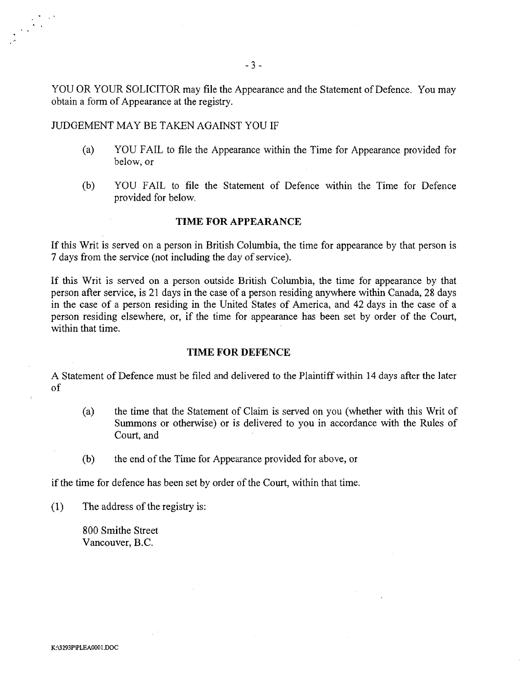$-3-$ 

YOU OR YOUR SOLICITOR may file the Appearance and the Statement of Defence. You may obtain a form of Appearance at the registry.

## JUDGEMENT MAY BE TAKEN AGAINST YOU IF

- (a) YOU FAIL to file the Appearance within the Time for Appearance provided for below, or
- (b) YOU FAIL to file the Statement of Defence within the Time for Defence provided for below.

#### **TIME FOR APPEARANCE**

If this Writ is served on a person in British Columbia, the time for appearance by that person is 7 days from the service (not including the day of service).

If this Writ is served on a person outside British Columbia, the time for appearance by that person after service, is 21 days in the case of a person residing anywhere within Canada, 28 days in the case of a person residing in the United States of America, and 42 days in the case of a person residing elsewhere, or, if the time for appearance has been set by order of the Court, within that time.

### **TIME FOR DEFENCE**

A Statement of Defence must be filed and delivered to the Plaintiff within 14 days after the later of

- (a) the time that the Statement of Claim is served on you (whether with this Writ of Summons or otherwise) or is delivered to you in accordance with' the Rules of Court, and
- (b) the end of the Time for Appearance provided for above, or

if the time for defence has been set by order of the Court, within that time.

(1) The address of the registry is:

800 Smithe Street Vancouver, B.C.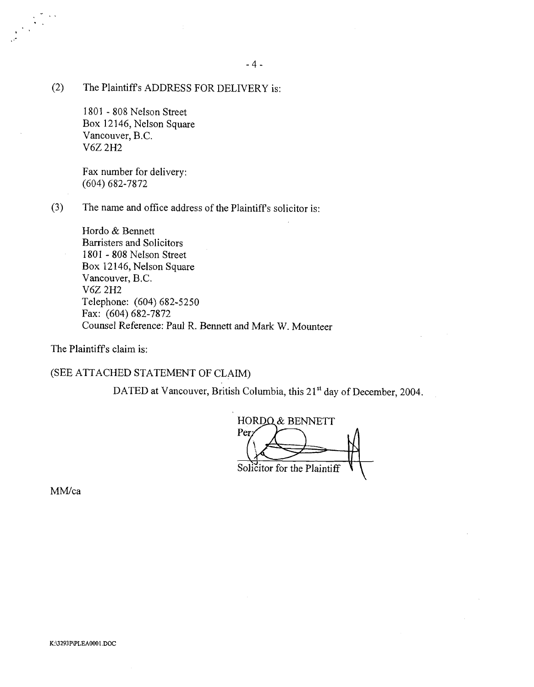# (2) The Plaintiffs ADDRESS FOR DELIVERY is:

1801 - 808 Nelson Street Box 12 146, Nelson Square Vancouver, B.C. V6Z 2H2

Fax number for delivery: (604) 682-7872

(3) The name and office address of the Plaintiffs solicitor is:

Hordo & Bennett Barristers and Solicitors 1801 - 808 Nelson Street Box 12146, Nelson Square Vancouver, B.C. V6Z 2H2 Telephone: (604) 682-5250 Fax: (604) 682-7872 Counsel Reference: Paul R. Bennett and Mark W. Mounteer

The Plaintiffs claim is:

## (SEE ATTACHED STATEMENT OF CLAIM)

DATED at Vancouver, British Columbia, this 21<sup>st</sup> day of December, 2004.

HORDO & BENNETT Solicitor for the Plaintiff

MM/ca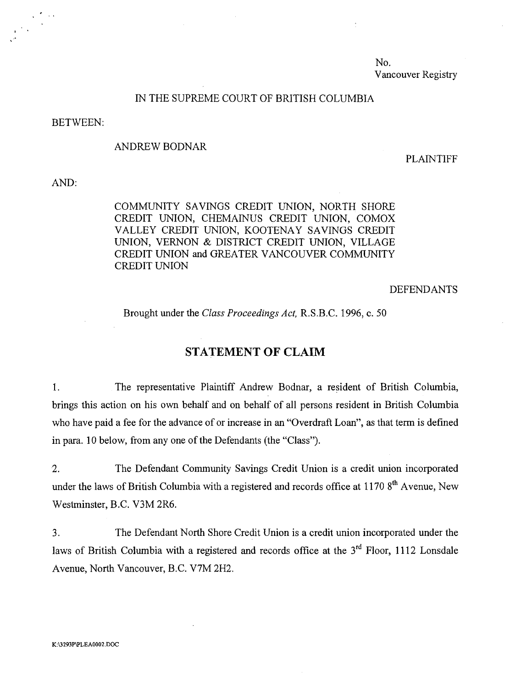No. Vancouver Registry

## IN THE SUPREME COURT OF BRITISH COLUMBIA

BETWEEN:

### ANDREW BODNAR

PLAINTIFF

AND:

COMMUNITY SAVINGS CREDIT UNION, NORTH SHORE CREDIT UNION, CHEMAINUS CREDIT UNION, COMOX VALLEY CREDIT UNION, KOOTENAY SAVINGS CREDIT UNION, VERNON & DISTRICT CREDIT UNION, VILLAGE CREDIT UNION and GREATER VANCOUVER COMMUNITY CREDIT UNION

DEFENDANTS

Brought under the Class Proceedings *Act,* R.S.B.C. 1996, c. 50

# **STATEMENT OF CLAIM**

1. The representative Plaintiff Andrew Bodnar, a resident of British Columbia, brings this action on his own behalf and on behalf of all persons resident in British Columbia who have paid a fee for the advance of or increase in an "Overdraft Loan", as that term is defined in para. 10 below, from any one of the Defendants (the "Class").

2. The Defendant Community Savings Credit Union is a credit union incorporated under the laws of British Columbia with a registered and records office at 1170 **sth** Avenue, New Westminster, B.C. V3M 2R6.

3. The Defendant North Shore Credit Union is a credit union incorporated under the laws of British Columbia with a registered and records office at the  $3<sup>rd</sup>$  Floor, 1112 Lonsdale Avenue, North Vancouver, B.C. V7M 2H2.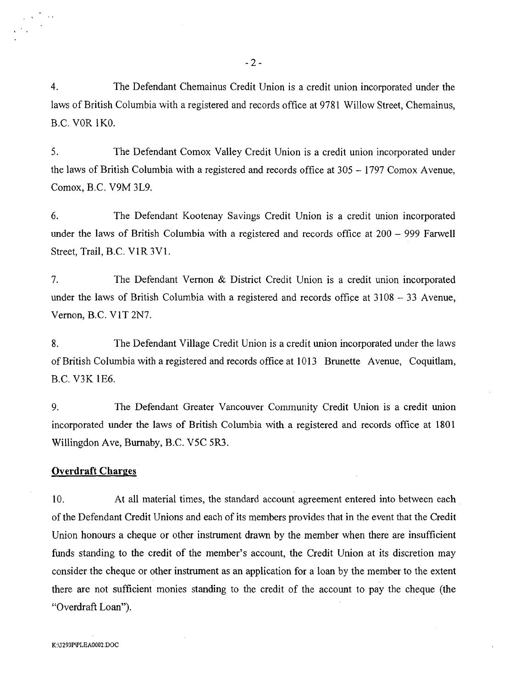4. The Defendant Chemainus Credit Union is a credit union incorporated under the laws of British Columbia with a registered and records office at 9781 Willow Street, Chemainus, B.C. VOR 1KO.

**5.** The Defendant Comox Valley Credit Union is a credit union incorporated under the laws of British Columbia with a registered and records office at  $305 - 1797$  Comox Avenue, Comox, B.C. V9M 3L9.

*6.* The Defendant Kootenay Savings Credit Union is a credit union incorporated under the laws of British Columbia with a registered and records office at 200 – 999 Farwell Street, Trail, B.C. V1R 3Vl.

7. The Defendant Vernon & District Credit Union is a credit union incorporated under the laws of British Columbia with a registered and records office at  $3108 - 33$  Avenue, Vernon, B.C. V 1T 2N7.

8. The Defendant Village Credit Union is a credit union incorporated under the laws of British Columbia with a registered and records office at 1013 Brunette Avenue, Coquitlam, B.C. V3K lE6.

9. The Defendant Greater Vancouver Community Credit Union is a credit union incorporated under the laws of British Columbia with a registered and records office at 1801 Willingdon Ave, Burnaby, B.C. V5C 5R3.

## **Overdraft Charges**

10. At all material times, the standard account agreement entered into between each of the Defendant Credit Unions and each of its members provides that in the event that the Credit Union honours a cheque or other instrument drawn by the member when there are insufficient funds standing to the credit of the member's account, the Credit Union at its discretion may consider the cheque or other instrument as an application for a loan by the member to the extent there are not sufficient monies standing to the credit of the account to pay the cheque (the "Overdraft Loan").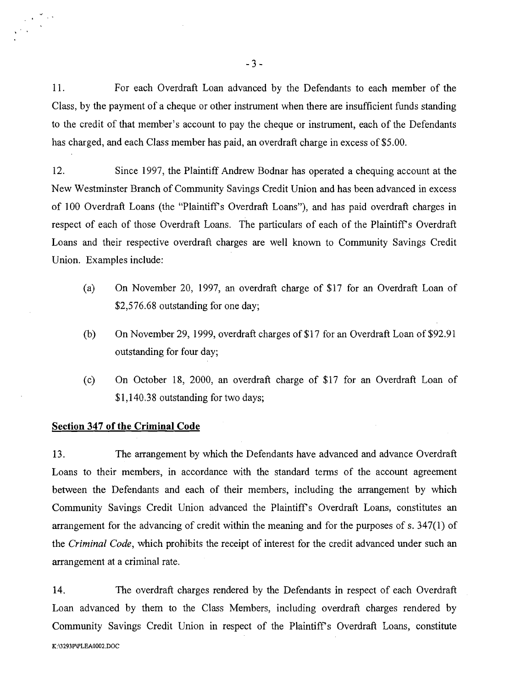11. For each Overdraft Loan advanced by the Defendants to each member of the Class, by the payment of a cheque or other instrument when there are insufficient funds standing to the credit of that member's account to pay the cheque or instrument, each of the Defendants has charged, and each Class member has paid, an overdraft charge in excess of \$5.00.

12. Since 1997, the Plaintiff Andrew Bodnar has operated a chequing account at the New Westminster Branch of Community Savings Credit Union and has been advanced in excess of 100 Overdraft Loans (the "Plaintiff's Overdraft Loans"), and has paid overdraft charges in respect of each of those Overdraft Loans. The particulars of each of the Plaintiff's Overdraft Loans and their respective overdraft charges are well known to Community Savings Credit Union. Examples include:

- (a) On November 20, 1997, an overdraft charge of \$17 for an Overdraft Loan of \$2,576.68 outstanding for one day;
- (b) On November 29, 1999, overdraft charges of \$17 for an Overdraft Loan of \$92.9 1 outstanding for four day;
- (c) On October 18, 2000, an overdraft charge of \$17 for an Overdraft Loan of \$1,140.38 outstanding for two days;

## **Section 347 of the Criminal Code**

13. The arrangement by which the Defendants have advanced and advance Overdraft Loans to their members, in accordance with the standard terms of the account agreement between the Defendants and each of their members, including the arrangement by which Community Savings Credit Union advanced the Plaintiffs Overdraft Loans, constitutes an arrangement for the advancing of credit within the meaning and for the purposes of s. 347(1) of the Criminal Code, which prohibits the receipt of interest for the credit advanced under such an arrangement at a criminal rate.

14. The overdraft charges rendered by the Defendants in respect of each Overdraft Loan advanced by them to the Class Members, including overdraft charges rendered by Community Savings Credit Union in respect of the Plaintiff's Overdraft Loans, constitute K:\3293P\PLEA0002.DOC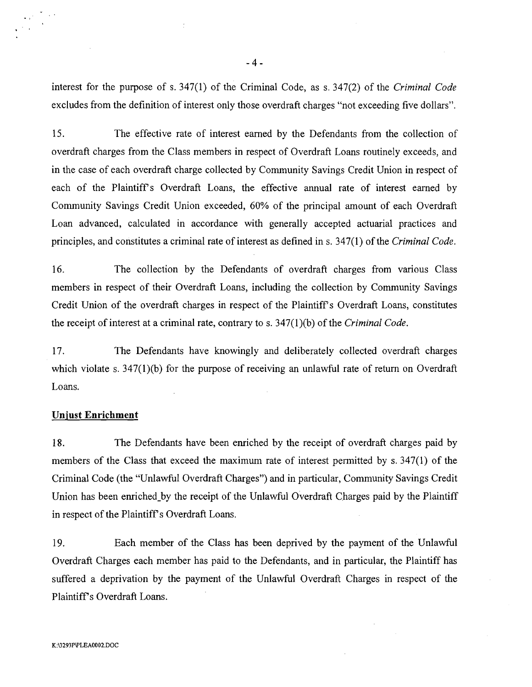interest for the purpose of s. 347(1) of the Criminal Code, as s. 347(2) of the *Criminal Code*  excludes from the definition of interest only those overdraft charges "not exceeding five dollars".

15. The effective rate of interest earned by the Defendants from the collection of overdraft charges from the Class members in respect of Overdraft Loans routinely exceeds, and in the case of each overdraft charge collected by Community Savings Credit Union in respect of each of the Plaintiffs Overdraft Loans, the effective annual rate of interest earned by Community Savings Credit Union exceeded, 60% of the principal amount of each Overdraft Loan advanced, calculated in accordance with generally accepted actuarial practices and principles, and constitutes a criminal rate of interest as defined in s. 347(1) of the *Criminal Code.* 

16. The collection by the Defendants of overdraft charges from various Class members in respect of their Overdraft Loans, including the collection by Community Savings Credit Union of the overdraft charges in respect of the Plaintiffs Overdraft Loans, constitutes the receipt of interest at a criminal rate, contrary to s. 347(1)(b) of the *Criminal Code.* 

17. The Defendants have knowingly and deliberately collected overdraft charges which violate s. 347(1)(b) for the purpose of receiving an unlawful rate of return on Overdraft Loans.

#### **Unjust Enrichment**

**18.** The Defendants have been enriched by the receipt of overdraft charges paid by members of the Class that exceed the maximum rate of interest permitted by s. 347(1) of the Criminal Code (the "Unlawful Overdraft Charges") and in particular, Community Savings Credit Union has been enriched by the receipt of the Unlawful Overdraft Charges paid by the Plaintiff in respect of the Plaintiff's Overdraft Loans.

19. Each member of the Class has been deprived by the payment of the Unlawful Overdraft Charges each member has paid to the Defendants, and in particular, the Plaintiff has suffered a deprivation by the payment of the Unlawful Overdraft Charges in respect of the Plaintiff's Overdraft Loans.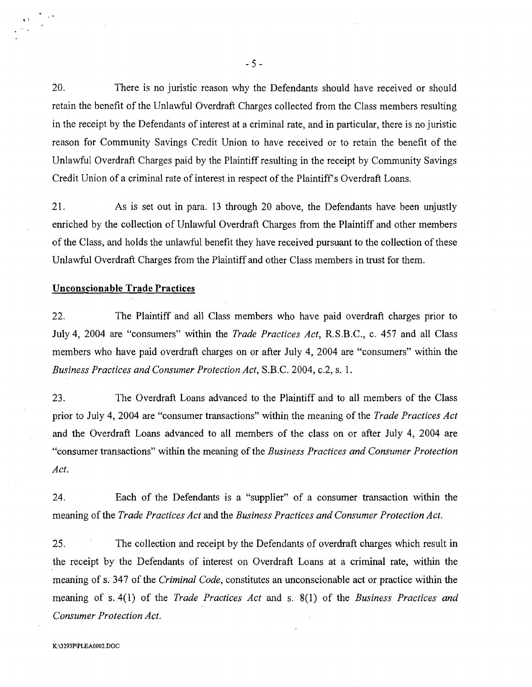20. There is no juristic reason why the Defendants should have received or should retain the benefit of the Unlawful Overdraft Charges collected from the Class members resulting in the receipt by the Defendants of interest at a criminal rate, and in particular, there is no juristic reason for Community Savings Credit Union to have received or to retain the benefit of the Unlawful Overdraft Charges paid by the Plaintiff resulting in the receipt by Community Savings Credit Union of a criminal rate of interest in respect of the Plaintiff's Overdraft Loans.

21. As is set out in para. 13 through 20 above, the Defendants have been unjustly enriched by the collection of Unlawful Overdraft Charges from the Plaintiff and other members of the Class, and holds the unlawful benefit they have received pursuant to the collection of these Unlawful Overdraft Charges from the Plaintiff and other Class members in trust for them.

#### **Unconscionable Trade Practices**

22. The Plaintiff and all Class members who have paid overdraft charges prior to July 4, 2004 are "consumers" within the *Trade Practices Act,* R.S.B.C., c. 457 and all Class members who have paid overdraft charges on or after July 4, 2004 are "consumers" within the *Business Practices and Consumer Protection Act,* S.B.C. 2004, c.2, s. 1.

23. The Overdraft Loans advanced to the Plaintiff and to all members of the Class prior to July 4, 2004 are "consumer transactions" within the meaning of the *Trade Practices Act*  and the Overdraft Loans advanced to all members of the class on or after July 4, 2004 are "consumer transactions" within the meaning of the *Business Practices and Consumer Protection Act.* 

24. Each of the Defendants is a "supplier" of a consumer transaction within the meaning of the *Trade Practices Act* and the *Business Practices and Consumer Protection Act.* 

25. The collection and receipt by the Defendants of overdraft charges which result in the receipt by the Defendants of interest on Overdraft Loans at a criminal rate, within the meaning of s. 347 of the *Criminal Code,* constitutes an unconscionable act or practice within the meaning of s. 4(1) of the *Trade Practices Act* and s. 8(1) of the *Business Practices and Consumer Protection Act.*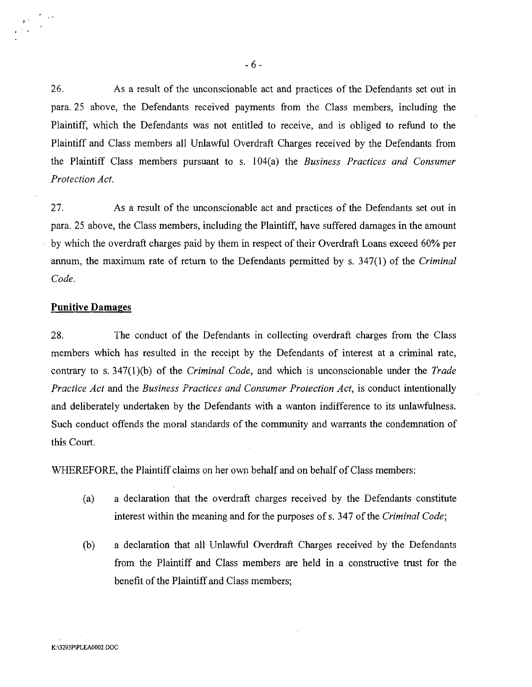26. As a result of the unconscionable act and practices of the Defendants set out in para. 25 above, the Defendants received payments from the Class members, including the Plaintiff, which the Defendants was not entitled to receive, and is obliged to refund to the Plaintiff and Class members all Unlawful Overdraft Charges received by the Defendants from the Plaintiff Class members pursuant to s. 104(a) the *Business Practices and Consumer Protection Act.* 

27. As a result of the unconscionable act and practices of the Defendants set out in para. 25 above, the Class members, including the Plaintiff, have suffered damages in the amount by which the overdraft charges paid by them in respect of their Overdraft Loans exceed 60% per annum, the maximum rate of return to the Defendants permitted by s. 347(1) of the *Criminal Code.* 

### **Punitive Damages**

28. The conduct of the Defendants in collecting overdraft charges from the Class members which has resulted in the receipt by the Defendants of interest at a criminal rate, contrary to s. 347(1)(b) of the *Criminal Code,* and which is unconscionable under the *Trade Practice Act* and the *Business Practices and Consumer Protection Act,* is conduct intentionally and deliberately undertaken by the Defendants with a wanton indifference to its unlawfulness. Such conduct offends the moral standards of the community and warrants the condemnation of this Court.

WHEREFORE, the Plaintiff claims on her own behalf and on behalf of Class members:

- (a) a declaration that the overdraft charges received by the Defendants constitute interest within the meaning and for the purposes of s. 347 of the *Criminal Code;*
- (b) a declaration that all Unlawful Overdraft Charges received by the Defendants from the Plaintiff and Class members are held in a constructive trust for the benefit of the Plaintiff and Class members;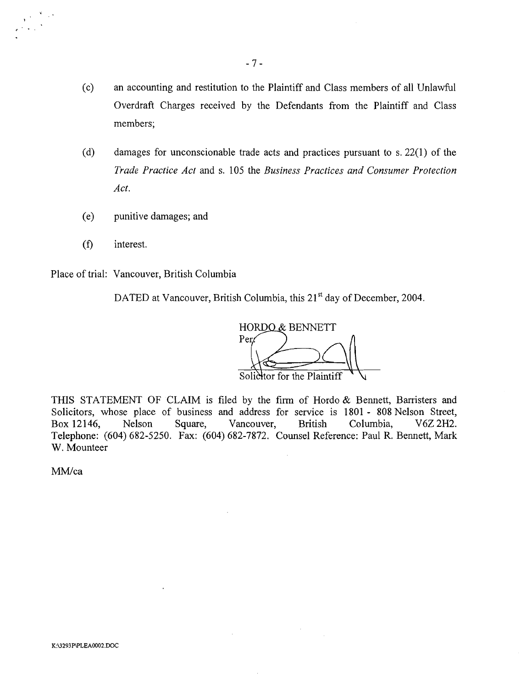- (c) an accounting and restitution to the Plaintiff and Class members of all Unlawful Overdraft Charges received by the Defendants from the Plaintiff and Class members;
- (d) damages for unconscionable trade acts and practices pursuant to s. 22(1) of the *Trade Practice Act* and s. 105 the *Business Practices and Consumer Protection Act.*
- (e) punitive damages; and
- **(f)** interest.

Place of trial: Vancouver, British Columbia

DATED at Vancouver, British Columbia, this 21<sup>st</sup> day of December, 2004.

HORDO & BENNETT

trade acts and practices pursuant to s. 22(1) of the<br>
15 the *Business Practices and Consumer Protection*<br>
16 Columbia, this 21<sup>st</sup> day of December, 2004.<br>
HORDO & BENNETT<br>
Perrodiction for the Plaintiff<br>
by the firm of Ho THIS STATEMENT OF CLAIM is filed by the firm of Hordo & Bennett, Barristers and Solicitors, whose place of business and address for service is 1801 - 808 Nelson Street, Box 12 146, Nelson Square, Vancouver, British Columbia, V6Z 2H2. Telephone: (604) 682-5250. Fax: (604) 682-7872. Counsel Reference: Paul R. Bennett, Mark W. Mounteer

MM/ca